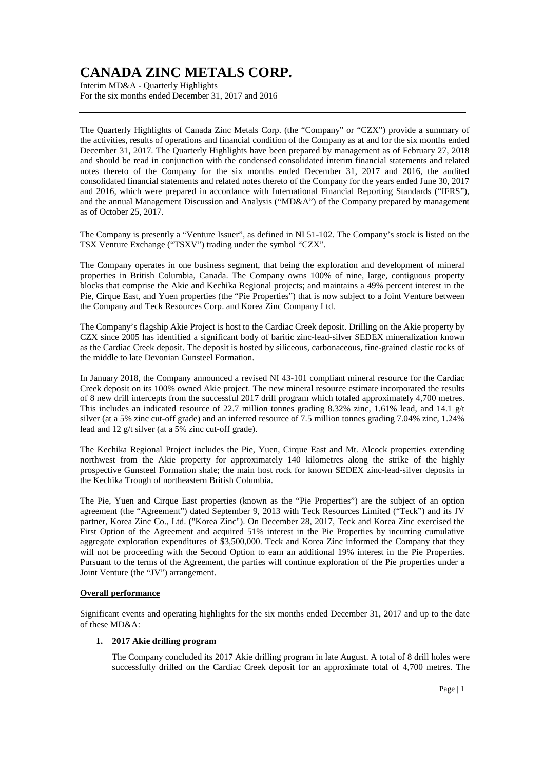Interim MD&A - Quarterly Highlights For the six months ended December 31, 2017 and 2016

The Quarterly Highlights of Canada Zinc Metals Corp. (the "Company" or "CZX") provide a summary of the activities, results of operations and financial condition of the Company as at and for the six months ended December 31, 2017. The Quarterly Highlights have been prepared by management as of February 27, 2018 and should be read in conjunction with the condensed consolidated interim financial statements and related notes thereto of the Company for the six months ended December 31, 2017 and 2016, the audited consolidated financial statements and related notes thereto of the Company for the years ended June 30, 2017 and 2016, which were prepared in accordance with International Financial Reporting Standards ("IFRS"), and the annual Management Discussion and Analysis ("MD&A") of the Company prepared by management as of October 25, 2017.

The Company is presently a "Venture Issuer", as defined in NI 51-102. The Company's stock is listed on the TSX Venture Exchange ("TSXV") trading under the symbol "CZX".

The Company operates in one business segment, that being the exploration and development of mineral properties in British Columbia, Canada. The Company owns 100% of nine, large, contiguous property blocks that comprise the Akie and Kechika Regional projects; and maintains a 49% percent interest in the Pie, Cirque East, and Yuen properties (the "Pie Properties") that is now subject to a Joint Venture between the Company and Teck Resources Corp. and Korea Zinc Company Ltd.

The Company's flagship Akie Project is host to the Cardiac Creek deposit. Drilling on the Akie property by CZX since 2005 has identified a significant body of baritic zinc-lead-silver SEDEX mineralization known as the Cardiac Creek deposit. The deposit is hosted by siliceous, carbonaceous, fine-grained clastic rocks of the middle to late Devonian Gunsteel Formation.

In January 2018, the Company announced a revised NI 43-101 compliant mineral resource for the Cardiac Creek deposit on its 100% owned Akie project. The new mineral resource estimate incorporated the results of 8 new drill intercepts from the successful 2017 drill program which totaled approximately 4,700 metres. This includes an indicated resource of 22.7 million tonnes grading 8.32% zinc, 1.61% lead, and 14.1 g/t silver (at a 5% zinc cut-off grade) and an inferred resource of 7.5 million tonnes grading 7.04% zinc, 1.24% lead and 12 g/t silver (at a 5% zinc cut-off grade).

The Kechika Regional Project includes the Pie, Yuen, Cirque East and Mt. Alcock properties extending northwest from the Akie property for approximately 140 kilometres along the strike of the highly prospective Gunsteel Formation shale; the main host rock for known SEDEX zinc-lead-silver deposits in the Kechika Trough of northeastern British Columbia.

The Pie, Yuen and Cirque East properties (known as the "Pie Properties") are the subject of an option agreement (the "Agreement") dated September 9, 2013 with Teck Resources Limited ("Teck") and its JV partner, Korea Zinc Co., Ltd. ("Korea Zinc"). On December 28, 2017, Teck and Korea Zinc exercised the First Option of the Agreement and acquired 51% interest in the Pie Properties by incurring cumulative aggregate exploration expenditures of \$3,500,000. Teck and Korea Zinc informed the Company that they will not be proceeding with the Second Option to earn an additional 19% interest in the Pie Properties. Pursuant to the terms of the Agreement, the parties will continue exploration of the Pie properties under a Joint Venture (the "JV") arrangement.

#### **Overall performance**

Significant events and operating highlights for the six months ended December 31, 2017 and up to the date of these MD&A:

#### **1. 2017 Akie drilling program**

The Company concluded its 2017 Akie drilling program in late August. A total of 8 drill holes were successfully drilled on the Cardiac Creek deposit for an approximate total of 4,700 metres. The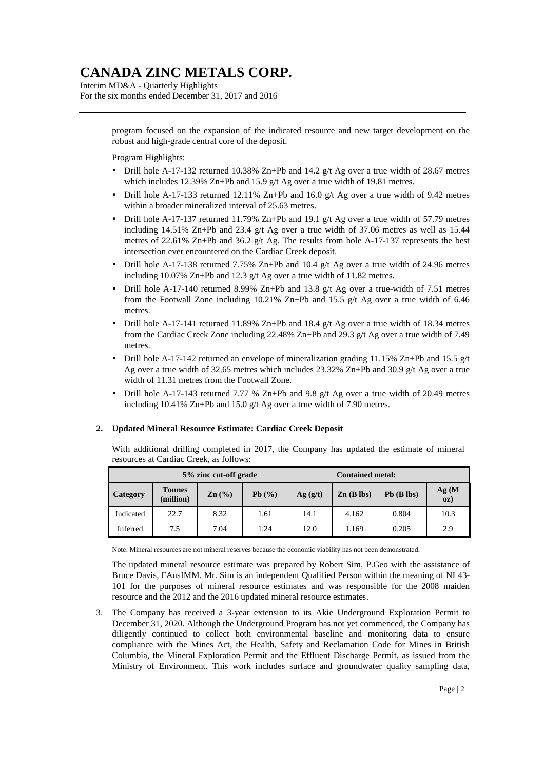Interim MD&A - Quarterly Highlights For the six months ended December 31, 2017 and 2016

> program focused on the expansion of the indicated resource and new target development on the robust and high-grade central core of the deposit.

### Program Highlights:

- Drill hole A-17-132 returned 10.38% Zn+Pb and 14.2  $g/t$  Ag over a true width of 28.67 metres which includes 12.39% Zn+Pb and 15.9 g/t Ag over a true width of 19.81 metres.
- Drill hole A-17-133 returned 12.11% Zn+Pb and 16.0 g/t Ag over a true width of 9.42 metres within a broader mineralized interval of 25.63 metres.
- Drill hole A-17-137 returned 11.79% Zn+Pb and 19.1 g/t Ag over a true width of 57.79 metres including 14.51% Zn+Pb and 23.4 g/t Ag over a true width of 37.06 metres as well as 15.44 metres of 22.61% Zn+Pb and 36.2 g/t Ag. The results from hole A-17-137 represents the best intersection ever encountered on the Cardiac Creek deposit.
- Drill hole A-17-138 returned 7.75% Zn+Pb and 10.4 g/t Ag over a true width of 24.96 metres including 10.07% Zn+Pb and 12.3 g/t Ag over a true width of 11.82 metres.
- Drill hole A-17-140 returned 8.99% Zn+Pb and 13.8 g/t Ag over a true-width of 7.51 metres from the Footwall Zone including  $10.21\%$  Zn+Pb and  $15.5$  g/t Ag over a true width of 6.46 metres.
- Drill hole A-17-141 returned 11.89% Zn+Pb and 18.4 g/t Ag over a true width of 18.34 metres from the Cardiac Creek Zone including 22.48% Zn+Pb and 29.3 g/t Ag over a true width of 7.49 metres.
- Drill hole A-17-142 returned an envelope of mineralization grading 11.15% Zn+Pb and 15.5  $g/t$ Ag over a true width of 32.65 metres which includes 23.32% Zn+Pb and 30.9 g/t Ag over a true width of 11.31 metres from the Footwall Zone.
- Drill hole A-17-143 returned 7.77 % Zn+Pb and 9.8 g/t Ag over a true width of 20.49 metres including 10.41% Zn+Pb and 15.0 g/t Ag over a true width of 7.90 metres.

#### **2. Updated Mineral Resource Estimate: Cardiac Creek Deposit**

With additional drilling completed in 2017, the Company has updated the estimate of mineral resources at Cardiac Creek, as follows:

| 5% zinc cut-off grade |                            |                   |       | <b>Contained metal:</b> |              |              |              |
|-----------------------|----------------------------|-------------------|-------|-------------------------|--------------|--------------|--------------|
| <b>Category</b>       | <b>Tonnes</b><br>(million) | $\mathbf{Zn}$ (%) | Pb(%) | Ag(g/t)                 | $Zn$ (B lbs) | $Pb$ (B lbs) | Ag(M)<br>0Z) |
| Indicated             | 22.7                       | 8.32              | 1.61  | 14.1                    | 4.162        | 0.804        | 10.3         |
| Inferred              | 7.5                        | 7.04              | 1.24  | 12.0                    | 1.169        | 0.205        | 2.9          |

Note: Mineral resources are not mineral reserves because the economic viability has not been demonstrated.

The updated mineral resource estimate was prepared by Robert Sim, P.Geo with the assistance of Bruce Davis, FAusIMM. Mr. Sim is an independent Qualified Person within the meaning of NI 43- 101 for the purposes of mineral resource estimates and was responsible for the 2008 maiden resource and the 2012 and the 2016 updated mineral resource estimates.

3. The Company has received a 3-year extension to its Akie Underground Exploration Permit to December 31, 2020. Although the Underground Program has not yet commenced, the Company has diligently continued to collect both environmental baseline and monitoring data to ensure compliance with the Mines Act, the Health, Safety and Reclamation Code for Mines in British Columbia, the Mineral Exploration Permit and the Effluent Discharge Permit, as issued from the Ministry of Environment. This work includes surface and groundwater quality sampling data,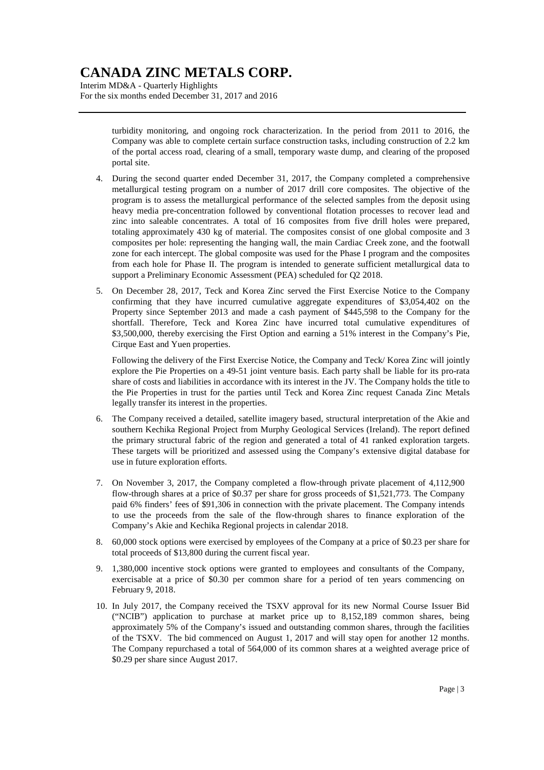Interim MD&A - Quarterly Highlights For the six months ended December 31, 2017 and 2016

> turbidity monitoring, and ongoing rock characterization. In the period from 2011 to 2016, the Company was able to complete certain surface construction tasks, including construction of 2.2 km of the portal access road, clearing of a small, temporary waste dump, and clearing of the proposed portal site.

- 4. During the second quarter ended December 31, 2017, the Company completed a comprehensive metallurgical testing program on a number of 2017 drill core composites. The objective of the program is to assess the metallurgical performance of the selected samples from the deposit using heavy media pre-concentration followed by conventional flotation processes to recover lead and zinc into saleable concentrates. A total of 16 composites from five drill holes were prepared, totaling approximately 430 kg of material. The composites consist of one global composite and 3 composites per hole: representing the hanging wall, the main Cardiac Creek zone, and the footwall zone for each intercept. The global composite was used for the Phase I program and the composites from each hole for Phase II. The program is intended to generate sufficient metallurgical data to support a Preliminary Economic Assessment (PEA) scheduled for Q2 2018.
- 5. On December 28, 2017, Teck and Korea Zinc served the First Exercise Notice to the Company confirming that they have incurred cumulative aggregate expenditures of \$3,054,402 on the Property since September 2013 and made a cash payment of \$445,598 to the Company for the shortfall. Therefore, Teck and Korea Zinc have incurred total cumulative expenditures of \$3,500,000, thereby exercising the First Option and earning a 51% interest in the Company's Pie, Cirque East and Yuen properties.

Following the delivery of the First Exercise Notice, the Company and Teck/ Korea Zinc will jointly explore the Pie Properties on a 49-51 joint venture basis. Each party shall be liable for its pro-rata share of costs and liabilities in accordance with its interest in the JV. The Company holds the title to the Pie Properties in trust for the parties until Teck and Korea Zinc request Canada Zinc Metals legally transfer its interest in the properties.

- 6. The Company received a detailed, satellite imagery based, structural interpretation of the Akie and southern Kechika Regional Project from Murphy Geological Services (Ireland). The report defined the primary structural fabric of the region and generated a total of 41 ranked exploration targets. These targets will be prioritized and assessed using the Company's extensive digital database for use in future exploration efforts.
- 7. On November 3, 2017, the Company completed a flow-through private placement of 4,112,900 flow-through shares at a price of \$0.37 per share for gross proceeds of \$1,521,773. The Company paid 6% finders' fees of \$91,306 in connection with the private placement. The Company intends to use the proceeds from the sale of the flow-through shares to finance exploration of the Company's Akie and Kechika Regional projects in calendar 2018.
- 8. 60,000 stock options were exercised by employees of the Company at a price of \$0.23 per share for total proceeds of \$13,800 during the current fiscal year.
- 9. 1,380,000 incentive stock options were granted to employees and consultants of the Company, exercisable at a price of \$0.30 per common share for a period of ten years commencing on February 9, 2018.
- 10. In July 2017, the Company received the TSXV approval for its new Normal Course Issuer Bid ("NCIB") application to purchase at market price up to 8,152,189 common shares, being approximately 5% of the Company's issued and outstanding common shares, through the facilities of the TSXV. The bid commenced on August 1, 2017 and will stay open for another 12 months. The Company repurchased a total of 564,000 of its common shares at a weighted average price of \$0.29 per share since August 2017.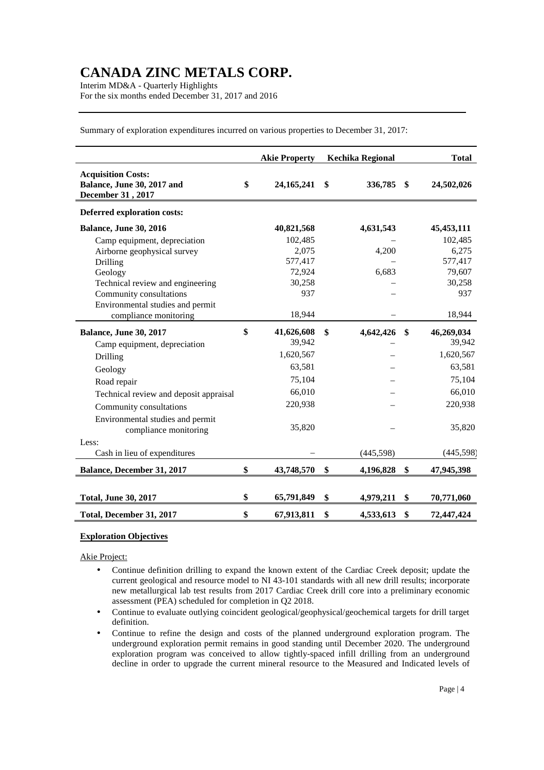Interim MD&A - Quarterly Highlights For the six months ended December 31, 2017 and 2016

Summary of exploration expenditures incurred on various properties to December 31, 2017: Akie Property Kechika Regional **Total Acquisition Costs:**

| Balance, June 30, 2017 and<br>December 31, 2017           | \$<br>24, 165, 241 | \$<br>336,785   | \$<br>24,502,026 |
|-----------------------------------------------------------|--------------------|-----------------|------------------|
| Deferred exploration costs:                               |                    |                 |                  |
| <b>Balance, June 30, 2016</b>                             | 40,821,568         | 4,631,543       | 45, 453, 111     |
| Camp equipment, depreciation                              | 102,485            |                 | 102,485          |
| Airborne geophysical survey                               | 2,075              | 4,200           | 6,275            |
| Drilling                                                  | 577,417            |                 | 577,417          |
| Geology                                                   | 72,924             | 6,683           | 79,607           |
| Technical review and engineering                          | 30,258             |                 | 30,258           |
| Community consultations                                   | 937                |                 | 937              |
| Environmental studies and permit                          |                    |                 |                  |
| compliance monitoring                                     | 18,944             |                 | 18,944           |
| <b>Balance, June 30, 2017</b>                             | \$<br>41,626,608   | \$<br>4,642,426 | \$<br>46,269,034 |
| Camp equipment, depreciation                              | 39,942             |                 | 39,942           |
| Drilling                                                  | 1,620,567          |                 | 1,620,567        |
| Geology                                                   | 63,581             |                 | 63,581           |
| Road repair                                               | 75,104             |                 | 75,104           |
| Technical review and deposit appraisal                    | 66,010             |                 | 66,010           |
| Community consultations                                   | 220,938            |                 | 220,938          |
| Environmental studies and permit<br>compliance monitoring | 35,820             |                 | 35,820           |
| Less:                                                     |                    |                 |                  |
| Cash in lieu of expenditures                              |                    | (445, 598)      | (445, 598)       |
| Balance, December 31, 2017                                | \$<br>43,748,570   | \$<br>4,196,828 | \$<br>47,945,398 |
|                                                           |                    |                 |                  |
| <b>Total, June 30, 2017</b>                               | \$<br>65,791,849   | \$<br>4,979,211 | \$<br>70,771,060 |
| Total, December 31, 2017                                  | \$<br>67,913,811   | \$<br>4,533,613 | \$<br>72,447,424 |

**Exploration Objectives** 

Akie Project:

- Continue definition drilling to expand the known extent of the Cardiac Creek deposit; update the current geological and resource model to NI 43-101 standards with all new drill results; incorporate new metallurgical lab test results from 2017 Cardiac Creek drill core into a preliminary economic assessment (PEA) scheduled for completion in Q2 2018.
- Continue to evaluate outlying coincident geological/geophysical/geochemical targets for drill target definition.
- Continue to refine the design and costs of the planned underground exploration program. The underground exploration permit remains in good standing until December 2020. The underground exploration program was conceived to allow tightly-spaced infill drilling from an underground decline in order to upgrade the current mineral resource to the Measured and Indicated levels of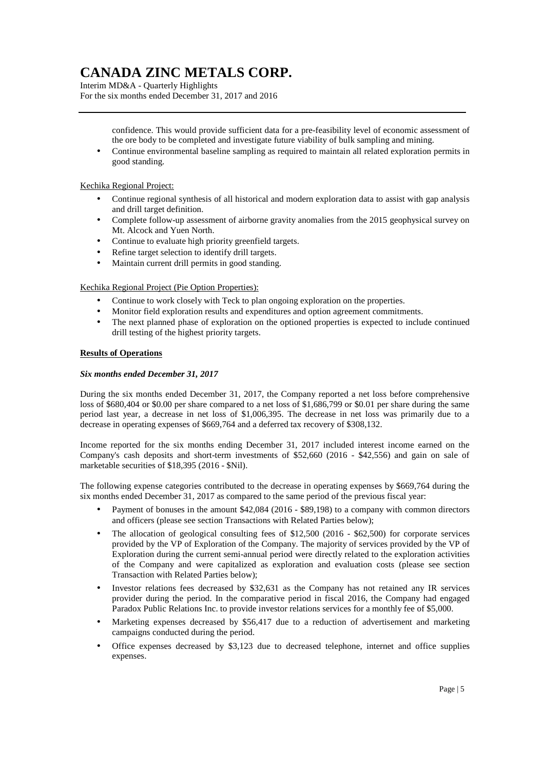Interim MD&A - Quarterly Highlights For the six months ended December 31, 2017 and 2016

> confidence. This would provide sufficient data for a pre-feasibility level of economic assessment of the ore body to be completed and investigate future viability of bulk sampling and mining.

• Continue environmental baseline sampling as required to maintain all related exploration permits in good standing.

### Kechika Regional Project:

- Continue regional synthesis of all historical and modern exploration data to assist with gap analysis and drill target definition.
- Complete follow-up assessment of airborne gravity anomalies from the 2015 geophysical survey on Mt. Alcock and Yuen North.
- Continue to evaluate high priority greenfield targets.
- Refine target selection to identify drill targets.
- Maintain current drill permits in good standing.

### Kechika Regional Project (Pie Option Properties):

- Continue to work closely with Teck to plan ongoing exploration on the properties.
- Monitor field exploration results and expenditures and option agreement commitments.
- The next planned phase of exploration on the optioned properties is expected to include continued drill testing of the highest priority targets.

#### **Results of Operations**

#### *Six months ended December 31, 2017*

During the six months ended December 31, 2017, the Company reported a net loss before comprehensive loss of \$680,404 or \$0.00 per share compared to a net loss of \$1,686,799 or \$0.01 per share during the same period last year, a decrease in net loss of \$1,006,395. The decrease in net loss was primarily due to a decrease in operating expenses of \$669,764 and a deferred tax recovery of \$308,132.

Income reported for the six months ending December 31, 2017 included interest income earned on the Company's cash deposits and short-term investments of \$52,660 (2016 - \$42,556) and gain on sale of marketable securities of \$18,395 (2016 - \$Nil).

The following expense categories contributed to the decrease in operating expenses by \$669,764 during the six months ended December 31, 2017 as compared to the same period of the previous fiscal year:

- Payment of bonuses in the amount \$42,084 (2016 \$89,198) to a company with common directors and officers (please see section Transactions with Related Parties below);
- The allocation of geological consulting fees of \$12,500 (2016 \$62,500) for corporate services provided by the VP of Exploration of the Company. The majority of services provided by the VP of Exploration during the current semi-annual period were directly related to the exploration activities of the Company and were capitalized as exploration and evaluation costs (please see section Transaction with Related Parties below);
- Investor relations fees decreased by \$32,631 as the Company has not retained any IR services provider during the period. In the comparative period in fiscal 2016, the Company had engaged Paradox Public Relations Inc. to provide investor relations services for a monthly fee of \$5,000.
- Marketing expenses decreased by \$56,417 due to a reduction of advertisement and marketing campaigns conducted during the period.
- Office expenses decreased by \$3,123 due to decreased telephone, internet and office supplies expenses.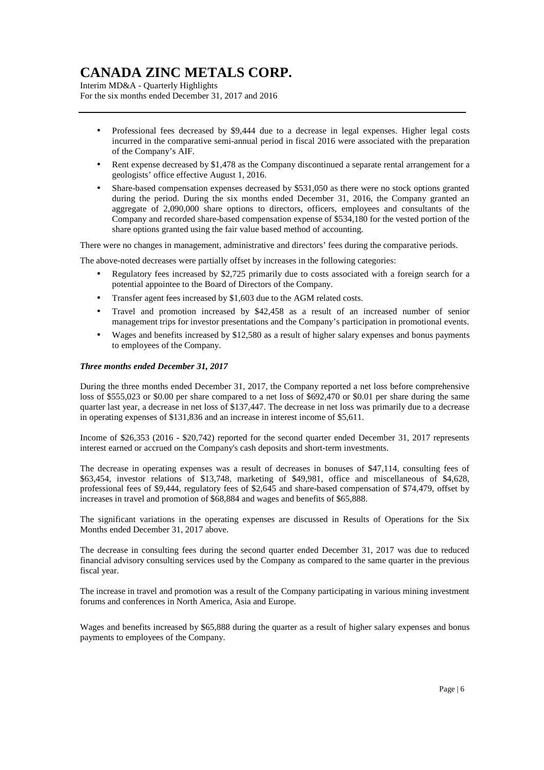Interim MD&A - Quarterly Highlights For the six months ended December 31, 2017 and 2016

- Professional fees decreased by \$9,444 due to a decrease in legal expenses. Higher legal costs incurred in the comparative semi-annual period in fiscal 2016 were associated with the preparation of the Company's AIF.
- Rent expense decreased by \$1,478 as the Company discontinued a separate rental arrangement for a geologists' office effective August 1, 2016.
- Share-based compensation expenses decreased by \$531,050 as there were no stock options granted during the period. During the six months ended December 31, 2016, the Company granted an aggregate of 2,090,000 share options to directors, officers, employees and consultants of the Company and recorded share-based compensation expense of \$534,180 for the vested portion of the share options granted using the fair value based method of accounting.

There were no changes in management, administrative and directors' fees during the comparative periods.

The above-noted decreases were partially offset by increases in the following categories:

- Regulatory fees increased by \$2,725 primarily due to costs associated with a foreign search for a potential appointee to the Board of Directors of the Company.
- Transfer agent fees increased by \$1,603 due to the AGM related costs.
- Travel and promotion increased by \$42,458 as a result of an increased number of senior management trips for investor presentations and the Company's participation in promotional events.
- Wages and benefits increased by \$12,580 as a result of higher salary expenses and bonus payments to employees of the Company.

#### *Three months ended December 31, 2017*

During the three months ended December 31, 2017, the Company reported a net loss before comprehensive loss of \$555,023 or \$0.00 per share compared to a net loss of \$692,470 or \$0.01 per share during the same quarter last year, a decrease in net loss of \$137,447. The decrease in net loss was primarily due to a decrease in operating expenses of \$131,836 and an increase in interest income of \$5,611.

Income of \$26,353 (2016 - \$20,742) reported for the second quarter ended December 31, 2017 represents interest earned or accrued on the Company's cash deposits and short-term investments.

The decrease in operating expenses was a result of decreases in bonuses of \$47,114, consulting fees of \$63,454, investor relations of \$13,748, marketing of \$49,981, office and miscellaneous of \$4,628, professional fees of \$9,444, regulatory fees of \$2,645 and share-based compensation of \$74,479, offset by increases in travel and promotion of \$68,884 and wages and benefits of \$65,888.

The significant variations in the operating expenses are discussed in Results of Operations for the Six Months ended December 31, 2017 above.

The decrease in consulting fees during the second quarter ended December 31, 2017 was due to reduced financial advisory consulting services used by the Company as compared to the same quarter in the previous fiscal year.

The increase in travel and promotion was a result of the Company participating in various mining investment forums and conferences in North America, Asia and Europe.

Wages and benefits increased by \$65,888 during the quarter as a result of higher salary expenses and bonus payments to employees of the Company.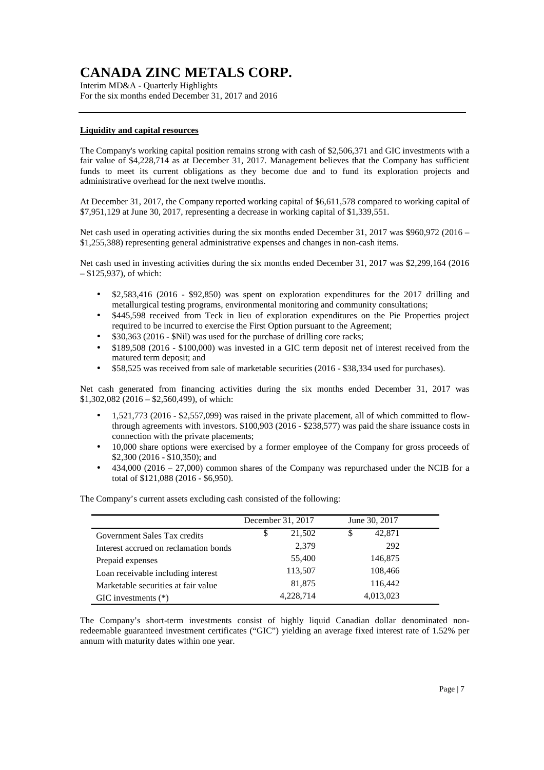Interim MD&A - Quarterly Highlights For the six months ended December 31, 2017 and 2016

### **Liquidity and capital resources**

The Company's working capital position remains strong with cash of \$2,506,371 and GIC investments with a fair value of \$4,228,714 as at December 31, 2017. Management believes that the Company has sufficient funds to meet its current obligations as they become due and to fund its exploration projects and administrative overhead for the next twelve months.

At December 31, 2017, the Company reported working capital of \$6,611,578 compared to working capital of \$7,951,129 at June 30, 2017, representing a decrease in working capital of \$1,339,551.

Net cash used in operating activities during the six months ended December 31, 2017 was \$960,972 (2016 – \$1,255,388) representing general administrative expenses and changes in non-cash items.

Net cash used in investing activities during the six months ended December 31, 2017 was \$2,299,164 (2016 – \$125,937), of which:

- \$2,583,416 (2016 \$92,850) was spent on exploration expenditures for the 2017 drilling and metallurgical testing programs, environmental monitoring and community consultations;
- \$445,598 received from Teck in lieu of exploration expenditures on the Pie Properties project required to be incurred to exercise the First Option pursuant to the Agreement;
- \$30,363 (2016 \$Nil) was used for the purchase of drilling core racks:
- \$189,508 (2016 \$100,000) was invested in a GIC term deposit net of interest received from the matured term deposit; and
- \$58,525 was received from sale of marketable securities (2016 \$38,334 used for purchases).

Net cash generated from financing activities during the six months ended December 31, 2017 was \$1,302,082 (2016 – \$2,560,499), of which:

- 1,521,773 (2016 \$2,557,099) was raised in the private placement, all of which committed to flowthrough agreements with investors. \$100,903 (2016 - \$238,577) was paid the share issuance costs in connection with the private placements;
- 10,000 share options were exercised by a former employee of the Company for gross proceeds of \$2,300 (2016 - \$10,350); and
- 434,000 (2016 27,000) common shares of the Company was repurchased under the NCIB for a total of \$121,088 (2016 - \$6,950).

The Company's current assets excluding cash consisted of the following:

| December 31, 2017 |           |   |           |               |
|-------------------|-----------|---|-----------|---------------|
| S                 | 21,502    | S | 42,871    |               |
|                   | 2,379     |   | 292       |               |
|                   | 55,400    |   | 146,875   |               |
|                   | 113,507   |   | 108,466   |               |
|                   | 81,875    |   | 116,442   |               |
|                   | 4,228,714 |   | 4,013,023 |               |
|                   |           |   |           | June 30, 2017 |

The Company's short-term investments consist of highly liquid Canadian dollar denominated nonredeemable guaranteed investment certificates ("GIC") yielding an average fixed interest rate of 1.52% per annum with maturity dates within one year.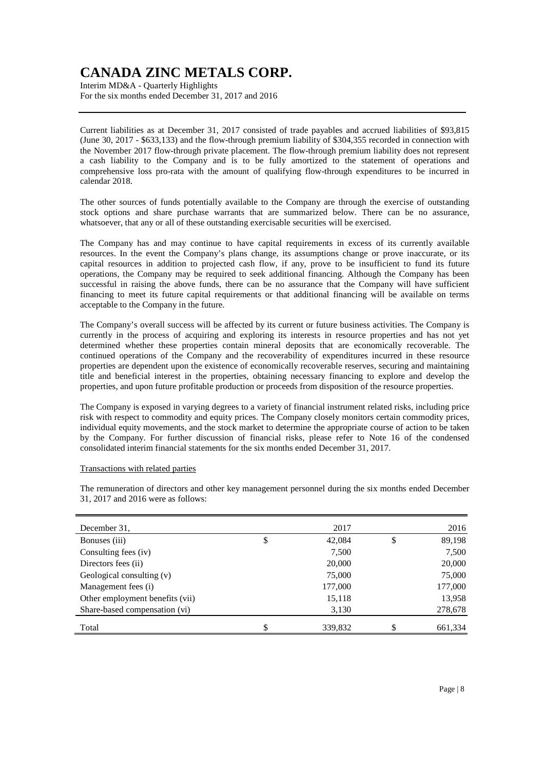Interim MD&A - Quarterly Highlights For the six months ended December 31, 2017 and 2016

Current liabilities as at December 31, 2017 consisted of trade payables and accrued liabilities of \$93,815 (June 30, 2017 - \$633,133) and the flow-through premium liability of \$304,355 recorded in connection with the November 2017 flow-through private placement. The flow-through premium liability does not represent a cash liability to the Company and is to be fully amortized to the statement of operations and comprehensive loss pro-rata with the amount of qualifying flow-through expenditures to be incurred in calendar 2018.

The other sources of funds potentially available to the Company are through the exercise of outstanding stock options and share purchase warrants that are summarized below. There can be no assurance, whatsoever, that any or all of these outstanding exercisable securities will be exercised.

The Company has and may continue to have capital requirements in excess of its currently available resources. In the event the Company's plans change, its assumptions change or prove inaccurate, or its capital resources in addition to projected cash flow, if any, prove to be insufficient to fund its future operations, the Company may be required to seek additional financing. Although the Company has been successful in raising the above funds, there can be no assurance that the Company will have sufficient financing to meet its future capital requirements or that additional financing will be available on terms acceptable to the Company in the future.

The Company's overall success will be affected by its current or future business activities. The Company is currently in the process of acquiring and exploring its interests in resource properties and has not yet determined whether these properties contain mineral deposits that are economically recoverable. The continued operations of the Company and the recoverability of expenditures incurred in these resource properties are dependent upon the existence of economically recoverable reserves, securing and maintaining title and beneficial interest in the properties, obtaining necessary financing to explore and develop the properties, and upon future profitable production or proceeds from disposition of the resource properties.

The Company is exposed in varying degrees to a variety of financial instrument related risks, including price risk with respect to commodity and equity prices. The Company closely monitors certain commodity prices, individual equity movements, and the stock market to determine the appropriate course of action to be taken by the Company. For further discussion of financial risks, please refer to Note 16 of the condensed consolidated interim financial statements for the six months ended December 31, 2017.

#### Transactions with related parties

|                                 | 2017          | 2016          |
|---------------------------------|---------------|---------------|
| December 31,                    |               |               |
| Bonuses (iii)                   | \$<br>42,084  | \$<br>89,198  |
| Consulting fees (iv)            | 7,500         | 7,500         |
| Directors fees (ii)             | 20,000        | 20,000        |
| Geological consulting (v)       | 75,000        | 75,000        |
| Management fees (i)             | 177,000       | 177,000       |
| Other employment benefits (vii) | 15,118        | 13,958        |
| Share-based compensation (vi)   | 3,130         | 278,678       |
|                                 |               |               |
| Total                           | \$<br>339,832 | \$<br>661,334 |

The remuneration of directors and other key management personnel during the six months ended December 31, 2017 and 2016 were as follows: